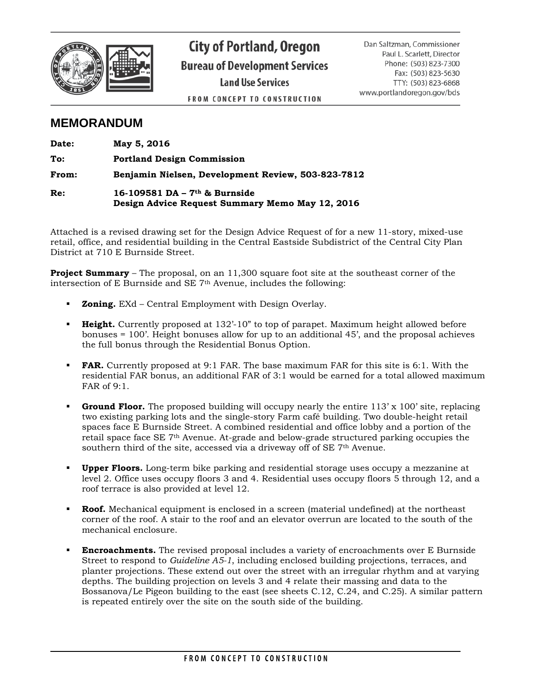

**City of Portland, Oregon Bureau of Development Services Land Use Services** 

**FROM CONCEPT TO CONSTRUCTION** 

Dan Saltzman, Commissioner Paul L. Scarlett, Director Phone: (503) 823-7300 Fax: (503) 823-5630 TTY: (503) 823-6868 www.portlandoregon.gov/bds

# **MEMORANDUM**

| Date: | May 5, 2016                                                                        |
|-------|------------------------------------------------------------------------------------|
| To:   | <b>Portland Design Commission</b>                                                  |
| From: | Benjamin Nielsen, Development Review, 503-823-7812                                 |
| Re:   | 16-109581 DA – $7th$ & Burnside<br>Design Advice Request Summary Memo May 12, 2016 |

Attached is a revised drawing set for the Design Advice Request of for a new 11-story, mixed-use retail, office, and residential building in the Central Eastside Subdistrict of the Central City Plan District at 710 E Burnside Street.

**Project Summary** – The proposal, on an 11,300 square foot site at the southeast corner of the intersection of E Burnside and SE 7th Avenue, includes the following:

- **Zoning.** EXd Central Employment with Design Overlay.
- **Height.** Currently proposed at 132'-10" to top of parapet. Maximum height allowed before bonuses = 100'. Height bonuses allow for up to an additional 45', and the proposal achieves the full bonus through the Residential Bonus Option.
- **FAR.** Currently proposed at 9:1 FAR. The base maximum FAR for this site is 6:1. With the residential FAR bonus, an additional FAR of 3:1 would be earned for a total allowed maximum FAR of 9:1.
- **Ground Floor.** The proposed building will occupy nearly the entire 113' x 100' site, replacing two existing parking lots and the single-story Farm café building. Two double-height retail spaces face E Burnside Street. A combined residential and office lobby and a portion of the retail space face SE 7th Avenue. At-grade and below-grade structured parking occupies the southern third of the site, accessed via a driveway off of SE 7<sup>th</sup> Avenue.
- **Upper Floors.** Long-term bike parking and residential storage uses occupy a mezzanine at level 2. Office uses occupy floors 3 and 4. Residential uses occupy floors 5 through 12, and a roof terrace is also provided at level 12.
- **Roof.** Mechanical equipment is enclosed in a screen (material undefined) at the northeast corner of the roof. A stair to the roof and an elevator overrun are located to the south of the mechanical enclosure.
- **Encroachments.** The revised proposal includes a variety of encroachments over E Burnside Street to respond to *Guideline A5-1*, including enclosed building projections, terraces, and planter projections. These extend out over the street with an irregular rhythm and at varying depths. The building projection on levels 3 and 4 relate their massing and data to the Bossanova/Le Pigeon building to the east (see sheets C.12, C.24, and C.25). A similar pattern is repeated entirely over the site on the south side of the building.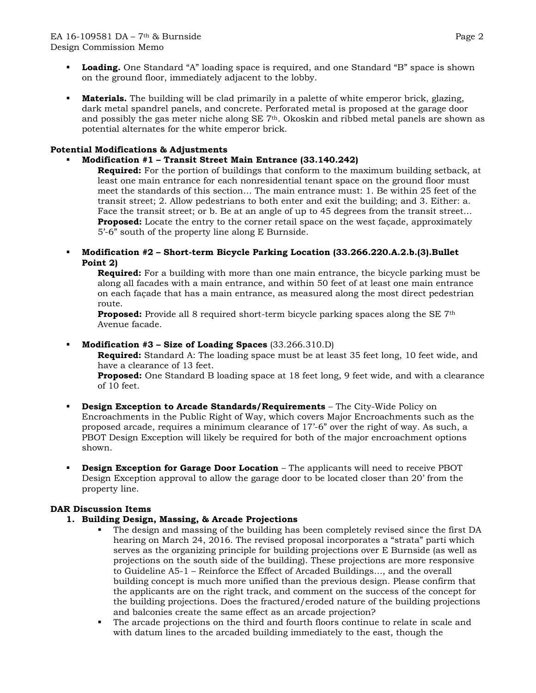- **Loading.** One Standard "A" loading space is required, and one Standard "B" space is shown on the ground floor, immediately adjacent to the lobby.
- **Materials.** The building will be clad primarily in a palette of white emperor brick, glazing, dark metal spandrel panels, and concrete. Perforated metal is proposed at the garage door and possibly the gas meter niche along SE 7th. Okoskin and ribbed metal panels are shown as potential alternates for the white emperor brick.

#### **Potential Modifications & Adjustments**

### **Modification #1 – Transit Street Main Entrance (33.140.242)**

**Required:** For the portion of buildings that conform to the maximum building setback, at least one main entrance for each nonresidential tenant space on the ground floor must meet the standards of this section… The main entrance must: 1. Be within 25 feet of the transit street; 2. Allow pedestrians to both enter and exit the building; and 3. Either: a. Face the transit street; or b. Be at an angle of up to 45 degrees from the transit street... **Proposed:** Locate the entry to the corner retail space on the west façade, approximately 5'-6" south of the property line along E Burnside.

 **Modification #2 – Short-term Bicycle Parking Location (33.266.220.A.2.b.(3).Bullet Point 2)**

**Required:** For a building with more than one main entrance, the bicycle parking must be along all facades with a main entrance, and within 50 feet of at least one main entrance on each façade that has a main entrance, as measured along the most direct pedestrian route.

**Proposed:** Provide all 8 required short-term bicycle parking spaces along the SE 7<sup>th</sup> Avenue facade.

#### **Modification #3 – Size of Loading Spaces** (33.266.310.D)

**Required:** Standard A: The loading space must be at least 35 feet long, 10 feet wide, and have a clearance of 13 feet.

**Proposed:** One Standard B loading space at 18 feet long, 9 feet wide, and with a clearance of 10 feet.

- **Design Exception to Arcade Standards/Requirements** The City-Wide Policy on Encroachments in the Public Right of Way, which covers Major Encroachments such as the proposed arcade, requires a minimum clearance of 17'-6" over the right of way. As such, a PBOT Design Exception will likely be required for both of the major encroachment options shown.
- **Design Exception for Garage Door Location** The applicants will need to receive PBOT Design Exception approval to allow the garage door to be located closer than 20' from the property line.

#### **DAR Discussion Items**

#### **1. Building Design, Massing, & Arcade Projections**

- The design and massing of the building has been completely revised since the first DA hearing on March 24, 2016. The revised proposal incorporates a "strata" parti which serves as the organizing principle for building projections over E Burnside (as well as projections on the south side of the building). These projections are more responsive to Guideline A5-1 – Reinforce the Effect of Arcaded Buildings…, and the overall building concept is much more unified than the previous design. Please confirm that the applicants are on the right track, and comment on the success of the concept for the building projections. Does the fractured/eroded nature of the building projections and balconies create the same effect as an arcade projection?
- The arcade projections on the third and fourth floors continue to relate in scale and with datum lines to the arcaded building immediately to the east, though the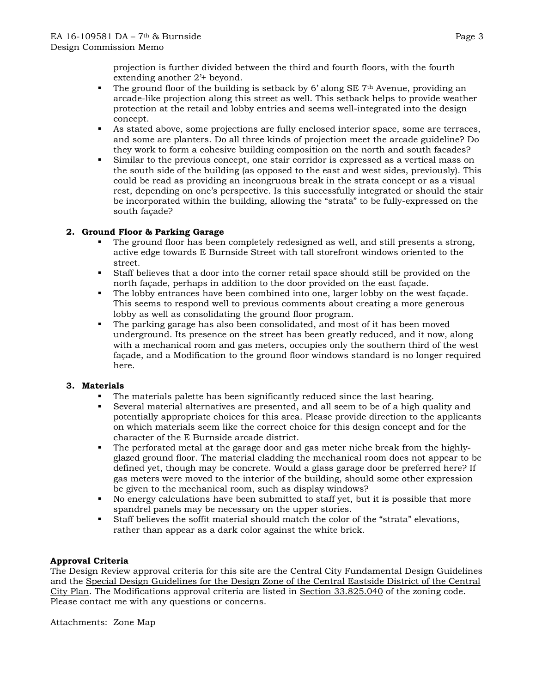projection is further divided between the third and fourth floors, with the fourth extending another 2'+ beyond.

- The ground floor of the building is setback by  $6'$  along SE 7<sup>th</sup> Avenue, providing an arcade-like projection along this street as well. This setback helps to provide weather protection at the retail and lobby entries and seems well-integrated into the design concept.
- As stated above, some projections are fully enclosed interior space, some are terraces, and some are planters. Do all three kinds of projection meet the arcade guideline? Do they work to form a cohesive building composition on the north and south facades?
- Similar to the previous concept, one stair corridor is expressed as a vertical mass on the south side of the building (as opposed to the east and west sides, previously). This could be read as providing an incongruous break in the strata concept or as a visual rest, depending on one's perspective. Is this successfully integrated or should the stair be incorporated within the building, allowing the "strata" to be fully-expressed on the south façade?

## **2. Ground Floor & Parking Garage**

- The ground floor has been completely redesigned as well, and still presents a strong, active edge towards E Burnside Street with tall storefront windows oriented to the street.
- Staff believes that a door into the corner retail space should still be provided on the north façade, perhaps in addition to the door provided on the east façade.
- The lobby entrances have been combined into one, larger lobby on the west façade. This seems to respond well to previous comments about creating a more generous lobby as well as consolidating the ground floor program.
- The parking garage has also been consolidated, and most of it has been moved underground. Its presence on the street has been greatly reduced, and it now, along with a mechanical room and gas meters, occupies only the southern third of the west façade, and a Modification to the ground floor windows standard is no longer required here.

#### **3. Materials**

- The materials palette has been significantly reduced since the last hearing.
- Several material alternatives are presented, and all seem to be of a high quality and potentially appropriate choices for this area. Please provide direction to the applicants on which materials seem like the correct choice for this design concept and for the character of the E Burnside arcade district.
- The perforated metal at the garage door and gas meter niche break from the highlyglazed ground floor. The material cladding the mechanical room does not appear to be defined yet, though may be concrete. Would a glass garage door be preferred here? If gas meters were moved to the interior of the building, should some other expression be given to the mechanical room, such as display windows?
- No energy calculations have been submitted to staff yet, but it is possible that more spandrel panels may be necessary on the upper stories.
- Staff believes the soffit material should match the color of the "strata" elevations, rather than appear as a dark color against the white brick.

#### **Approval Criteria**

The Design Review approval criteria for this site are the Central City Fundamental Design Guidelines and the Special Design Guidelines for the Design Zone of the Central Eastside District of the Central City Plan. The Modifications approval criteria are listed in Section 33.825.040 of the zoning code. Please contact me with any questions or concerns.

Attachments: Zone Map